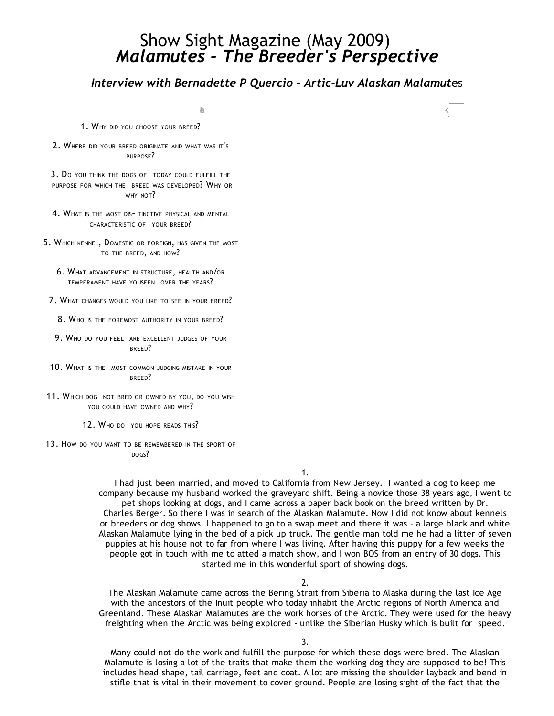# Show Sight Magazine (May 2009) *Malamutes ‐ The Breeder's Perspective*

# *Interview with Bernadette P Quercio ‐ Artic‐Luv Alaskan Malamut*es

hare

- 1. WHY DID YOU CHOOSE YOUR BREED?
- 2. WHERE DID YOUR BREED ORIGINATE AND WHAT WAS IT'S PURPOSE?

3. D<sup>O</sup> YOU THINK THE DOGS OF TODAY COULD FULFILL THE PURPOSE FOR WHICH THE BREED WAS DEVELOPED? WHY OR WHY NOT?

- 4. WHAT IS THE MOST DIS- TINCTIVE PHYSICAL AND MENTAL CHARACTERISTIC OF YOUR BREED?
- 5. WHICH KENNEL, DOMESTIC OR FOREIGN, HAS GIVEN THE MOST TO THE BREED, AND HOW?
	- 6. WHAT ADVANCEMENT IN STRUCTURE, HEALTH AND/OR TEMPERAMENT HAVE YOUSEEN OVER THE YEARS?
- 7. WHAT CHANGES WOULD YOU LIKE TO SEE IN YOUR BREED?
	- 8. WHO IS THE FOREMOST AUTHORITY IN YOUR BREED?
- 9. WHO DO YOU FEEL ARE EXCELLENT JUDGES OF YOUR BREED?
- 10. WHAT IS THE MOST COMMON JUDGING MISTAKE IN YOUR BREED?
- 11. WHICH DOG NOT BRED OR OWNED BY YOU, DO YOU WISH YOU COULD HAVE OWNED AND WHY?
	- 12. WHO DO YOU HOPE READS THIS?
- 13. HOW DO YOU WANT TO BE REMEMBERED IN THE SPORT OF DOGS?

1.

I had just been married, and moved to California from New Jersey. I wanted a dog to keep me company because my husband worked the graveyard shift. Being a novice those 38 years ago, I went to pet shops looking at dogs, and I came across a paper back book on the breed written by Dr. Charles Berger. So there I was in search of the Alaskan Malamute. Now I did not know about kennels or breeders or dog shows. I happened to go to a swap meet and there it was ‐ a large black and white Alaskan Malamute lying in the bed of a pick up truck. The gentle man told me he had a litter of seven puppies at his house not to far from where I was living. After having this puppy for a few weeks the people got in touch with me to atted a match show, and I won BOS from an entry of 30 dogs. This started me in this wonderful sport of showing dogs.

2.

The Alaskan Malamute came across the Bering Strait from Siberia to Alaska during the last Ice Age with the ancestors of the Inuit people who today inhabit the Arctic regions of North America and Greenland. These Alaskan Malamutes are the work horses of the Arctic. They were used for the heavy freighting when the Arctic was being explored ‐ unlike the Siberian Husky which is built for speed.

3.

Many could not do the work and fulfill the purpose for which these dogs were bred. The Alaskan Malamute is losing a lot of the traits that make them the working dog they are supposed to be! This includes head shape, tail carriage, feet and coat. A lot are missing the shoulder layback and bend in stifle that is vital in their movement to cover ground. People are losing sight of the fact that the